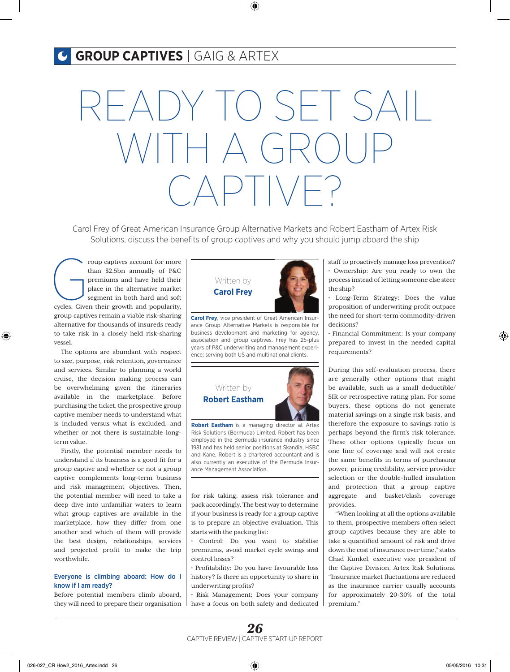## **GROUP CAPTIVES** | GAIG & ARTEX

# READY TO SET SAIL  $\Box$  $C \triangle \Box \Box \Box \Box \Box \Box \Box$

Carol Frey of Great American Insurance Group Alternative Markets and Robert Eastham of Artex Risk Solutions, discuss the benefits of group captives and why you should jump aboard the ship

From than \$2.5bn annually of P&C<br>
premiums and have held their<br>
place in the alternative market<br>
segment in both hard and soft<br>
cycles. Given their growth and popularity, than \$2.5bn annually of P&C premiums and have held their place in the alternative market segment in both hard and soft group captives remain a viable risk-sharing alternative for thousands of insureds ready to take risk in a closely held risk-sharing vessel.

The options are abundant with respect to size, purpose, risk retention, governance and services. Similar to planning a world cruise, the decision making process can be overwhelming given the itineraries available in the marketplace. Before purchasing the ticket, the prospective group captive member needs to understand what is included versus what is excluded, and whether or not there is sustainable longterm value.

Firstly, the potential member needs to understand if its business is a good fit for a group captive and whether or not a group captive complements long-term business and risk management objectives. Then, the potential member will need to take a deep dive into unfamiliar waters to learn what group captives are available in the marketplace, how they differ from one another and which of them will provide the best design, relationships, services and projected profit to make the trip worthwhile.

## Everyone is climbing aboard: How do I know if I am ready?

Before potential members climb aboard, they will need to prepare their organisation



**Carol Frey**, vice president of Great American Insurance Group Alternative Markets is responsible for business development and marketing for agency, association and group captives. Frey has 25-plus years of P&C underwriting and management experience; serving both US and multinational clients.



**Robert Eastham** is a managing director at Artex Risk Solutions (Bermuda) Limited. Robert has been employed in the Bermuda insurance industry since 1981 and has held senior positions at Skandia, HSBC and Kane. Robert is a chartered accountant and is also currently an executive of the Bermuda Insurance Management Association.

for risk taking, assess risk tolerance and pack accordingly. The best way to determine if your business is ready for a group captive is to prepare an objective evaluation. This starts with the packing list:

• Control: Do you want to stabilise premiums, avoid market cycle swings and control losses?

• Profitability: Do you have favourable loss history? Is there an opportunity to share in underwriting profits?

• Risk Management: Does your company have a focus on both safety and dedicated

staff to proactively manage loss prevention? • Ownership: Are you ready to own the process instead of letting someone else steer the ship?

• Long-Term Strategy: Does the value proposition of underwriting profit outpace the need for short-term commodity-driven decisions?

• Financial Commitment: Is your company prepared to invest in the needed capital requirements?

During this self-evaluation process, there are generally other options that might be available, such as a small deductible/ SIR or retrospective rating plan. For some buyers, these options do not generate material savings on a single risk basis, and therefore the exposure to savings ratio is perhaps beyond the firm's risk tolerance. These other options typically focus on one line of coverage and will not create the same benefits in terms of purchasing power, pricing credibility, service provider selection or the double-hulled insulation and protection that a group captive aggregate and basket/clash coverage provides.

"When looking at all the options available to them, prospective members often select group captives because they are able to take a quantified amount of risk and drive down the cost of insurance over time," states Chad Kunkel, executive vice president of the Captive Division, Artex Risk Solutions. "Insurance market fluctuations are reduced as the insurance carrier usually accounts for approximately 20-30% of the total premium."